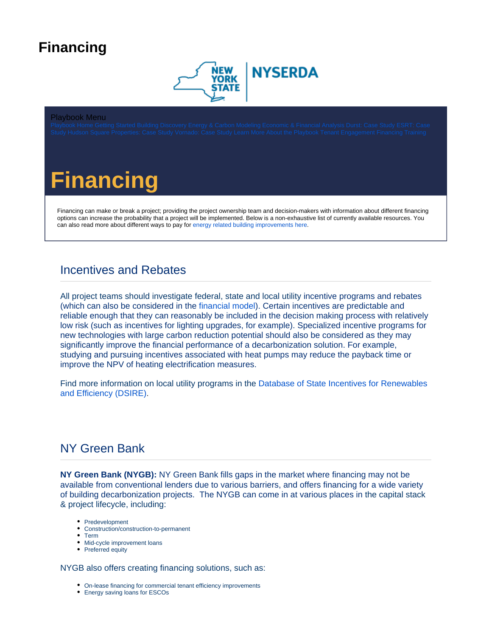# <span id="page-0-0"></span>**Financing**



#### Playbook Menu



Financing can make or break a project; providing the project ownership team and decision-makers with information about different financing options can increase the probability that a project will be implemented. Below is a non-exhaustive list of currently available resources. You can also read more about different ways to pay for [energy related building improvements here](https://www1.nyc.gov/assets/nycaccelerator/downloads/pdf/NYCA_Financial_Assistance_Toolkit.pdf).

### Incentives and Rebates

All project teams should investigate federal, state and local utility incentive programs and rebates (which can also be considered in the [financial model\)](https://knowledge.nyserda.ny.gov/pages/viewpage.action?pageId=110723484). Certain incentives are predictable and reliable enough that they can reasonably be included in the decision making process with relatively low risk (such as incentives for lighting upgrades, for example). Specialized incentive programs for new technologies with large carbon reduction potential should also be considered as they may significantly improve the financial performance of a decarbonization solution. For example, studying and pursuing incentives associated with heat pumps may reduce the payback time or improve the NPV of heating electrification measures.

Find more information on local utility programs in the [Database of State Incentives for Renewables](https://programs.dsireusa.org/system/program?state=NY)  [and Efficiency \(DSIRE\)](https://programs.dsireusa.org/system/program?state=NY).

#### NY Green Bank

**NY Green Bank (NYGB):** NY Green Bank fills gaps in the market where financing may not be available from conventional lenders due to various barriers, and offers financing for a wide variety of building decarbonization projects. The NYGB can come in at various places in the capital stack & project lifecycle, including:

- Predevelopment
- Construction/construction-to-permanent
- Term
- Mid-cycle improvement loans
- Preferred equity

NYGB also offers creating financing solutions, such as:

- On-lease financing for commercial tenant efficiency improvements
- Energy saving loans for ESCOs